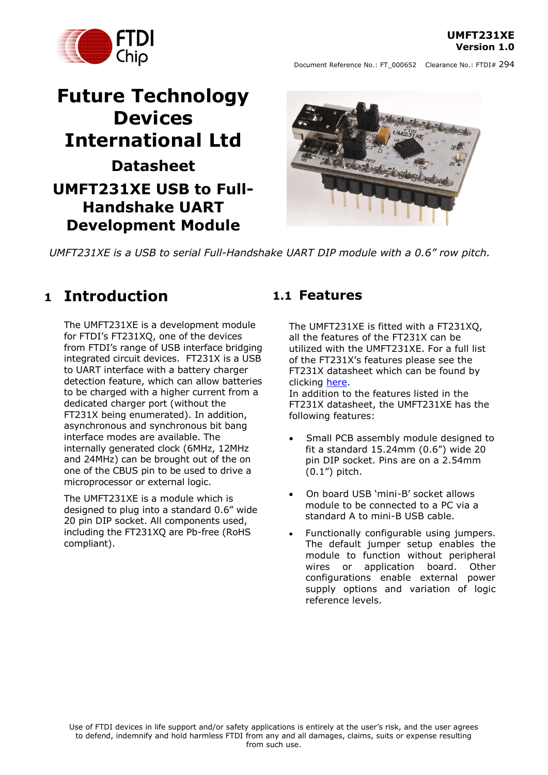**UMFT231XE Version 1.0**



Document Reference No.: FT\_000652 Clearance No.: FTDI# 294

# **Future Technology Devices International Ltd Datasheet UMFT231XE USB to Full-Handshake UART Development Module**



*UMFT231XE is a USB to serial Full-Handshake UART DIP module with a 0.6" row pitch.*

## <span id="page-0-0"></span>**1 Introduction**

The UMFT231XE is a development module for FTDI's FT231XQ, one of the devices from FTDI"s range of USB interface bridging integrated circuit devices. FT231X is a USB to UART interface with a battery charger detection feature, which can allow batteries to be charged with a higher current from a dedicated charger port (without the FT231X being enumerated). In addition, asynchronous and synchronous bit bang interface modes are available. The internally generated clock (6MHz, 12MHz and 24MHz) can be brought out of the on one of the CBUS pin to be used to drive a microprocessor or external logic.

The UMFT231XE is a module which is designed to plug into a standard 0.6" wide 20 pin DIP socket. All components used, including the FT231XQ are Pb-free (RoHS compliant).

### <span id="page-0-1"></span>**1.1 Features**

The UMFT231XE is fitted with a FT231XQ, all the features of the FT231X can be utilized with the UMFT231XE. For a full list of the FT231X"s features please see the FT231X datasheet which can be found by clicking [here.](http://www.ftdichip.com/Support/Documents/DataSheets/ICs/DS_FT231X.pdf)

In addition to the features listed in the FT231X datasheet, the UMFT231XE has the following features:

- Small PCB assembly module designed to fit a standard 15.24mm (0.6") wide 20 pin DIP socket. Pins are on a 2.54mm  $(0.1")$  pitch.
- On board USB 'mini-B' socket allows module to be connected to a PC via a standard A to mini-B USB cable.
- Functionally configurable using jumpers. The default jumper setup enables the module to function without peripheral wires or application board. Other configurations enable external power supply options and variation of logic reference levels.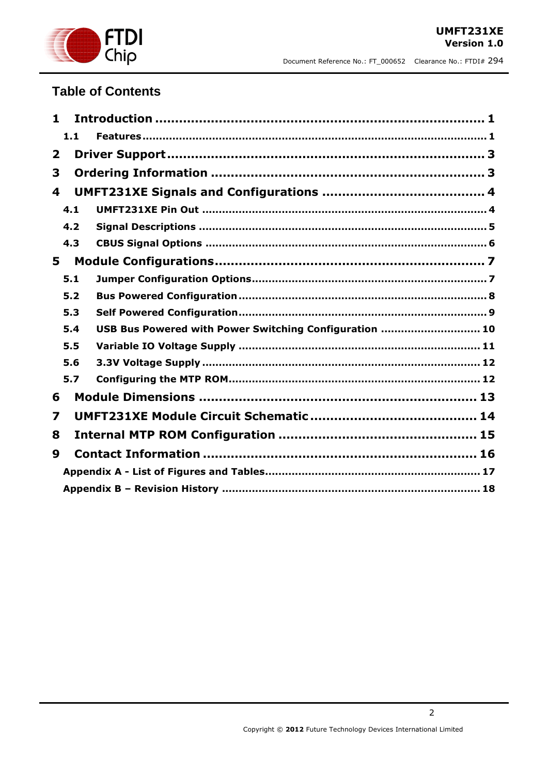

### **Table of Contents**

| 1                       |     |                                                        |  |  |  |  |
|-------------------------|-----|--------------------------------------------------------|--|--|--|--|
|                         | 1.1 |                                                        |  |  |  |  |
| $\mathbf{2}$            |     |                                                        |  |  |  |  |
| 3                       |     |                                                        |  |  |  |  |
| $\overline{\mathbf{4}}$ |     |                                                        |  |  |  |  |
|                         | 4.1 |                                                        |  |  |  |  |
|                         | 4.2 |                                                        |  |  |  |  |
|                         | 4.3 |                                                        |  |  |  |  |
| 5                       |     |                                                        |  |  |  |  |
|                         | 5.1 |                                                        |  |  |  |  |
|                         | 5.2 |                                                        |  |  |  |  |
|                         | 5.3 |                                                        |  |  |  |  |
|                         | 5.4 | USB Bus Powered with Power Switching Configuration  10 |  |  |  |  |
|                         | 5.5 |                                                        |  |  |  |  |
|                         | 5.6 |                                                        |  |  |  |  |
|                         | 5.7 |                                                        |  |  |  |  |
| 6                       |     |                                                        |  |  |  |  |
| 7                       |     |                                                        |  |  |  |  |
| 8                       |     |                                                        |  |  |  |  |
| 9                       |     |                                                        |  |  |  |  |
|                         |     |                                                        |  |  |  |  |
|                         |     |                                                        |  |  |  |  |

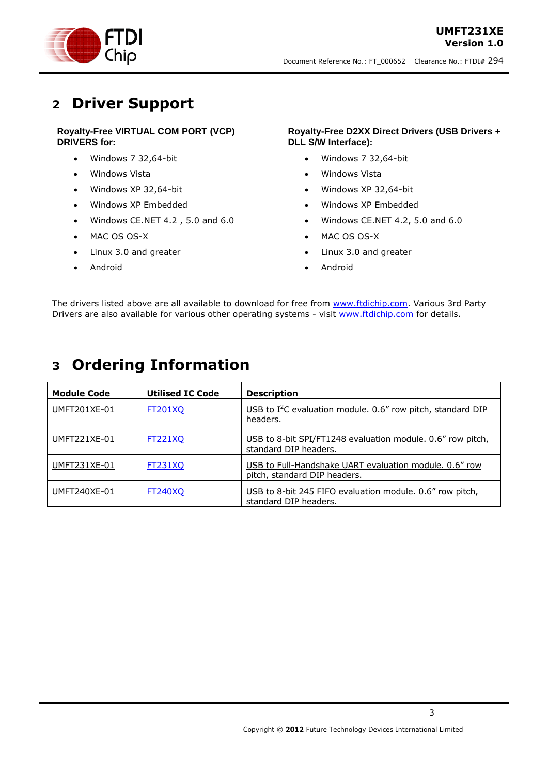

## <span id="page-2-0"></span>**2 Driver Support**

### **Royalty-Free VIRTUAL COM PORT (VCP) DRIVERS for:**

- Windows 7 32,64-bit
- Windows Vista
- Windows XP 32,64-bit
- Windows XP Embedded
- Windows CE.NET 4.2 , 5.0 and 6.0
- MAC OS OS-X
- Linux 3.0 and greater
- Android

#### **Royalty-Free D2XX Direct Drivers (USB Drivers + DLL S/W Interface):**

- Windows 7 32,64-bit
- Windows Vista
- Windows XP 32,64-bit
- Windows XP Embedded
- Windows CE.NET 4.2, 5.0 and 6.0
- MAC OS OS-X
- Linux 3.0 and greater
- Android

The drivers listed above are all available to download for free from [www.ftdichip.com.](http://www.ftdichip.com/) Various 3rd Party Drivers are also available for various other operating systems - visit [www.ftdichip.com](http://www.ftdichip.com/) for details.

## <span id="page-2-1"></span>**3 Ordering Information**

| <b>Module Code</b> | <b>Utilised IC Code</b> | <b>Description</b>                                                                     |
|--------------------|-------------------------|----------------------------------------------------------------------------------------|
| UMFT201XE-01       | <b>FT201XO</b>          | USB to $I^2C$ evaluation module. 0.6" row pitch, standard DIP<br>headers.              |
| UMFT221XE-01       | <b>FT221XO</b>          | USB to 8-bit SPI/FT1248 evaluation module. 0.6" row pitch,<br>standard DIP headers.    |
| UMFT231XE-01       | <b>FT231XQ</b>          | USB to Full-Handshake UART evaluation module, 0.6" row<br>pitch, standard DIP headers. |
| UMFT240XE-01       | <b>FT240XO</b>          | USB to 8-bit 245 FIFO evaluation module. 0.6" row pitch,<br>standard DIP headers.      |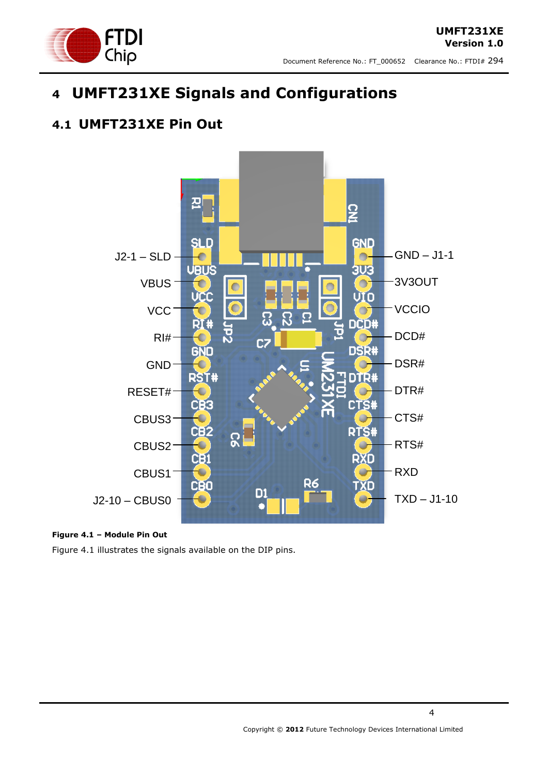

# <span id="page-3-0"></span>**4 UMFT231XE Signals and Configurations**

### <span id="page-3-1"></span>**4.1 UMFT231XE Pin Out**



### <span id="page-3-2"></span>**Figure 4.1 – Module Pin Out**

Figure 4.1 illustrates the signals available on the DIP pins.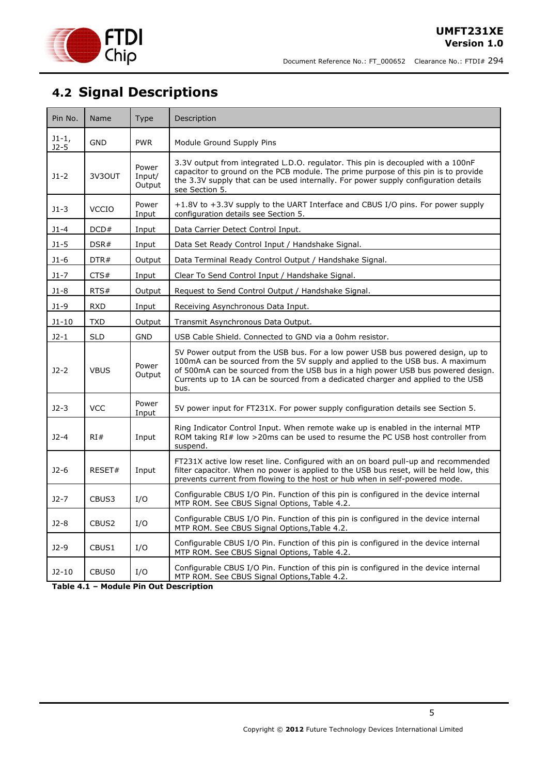

## <span id="page-4-0"></span>**4.2 Signal Descriptions**

| Pin No.           | Name              | <b>Type</b>               | Description                                                                                                                                                                                                                                                                                                                                      |
|-------------------|-------------------|---------------------------|--------------------------------------------------------------------------------------------------------------------------------------------------------------------------------------------------------------------------------------------------------------------------------------------------------------------------------------------------|
| $J1-1,$<br>$J2-5$ | GND               | <b>PWR</b>                | Module Ground Supply Pins                                                                                                                                                                                                                                                                                                                        |
| $J1-2$            | 3V3OUT            | Power<br>Input/<br>Output | 3.3V output from integrated L.D.O. regulator. This pin is decoupled with a 100nF<br>capacitor to ground on the PCB module. The prime purpose of this pin is to provide<br>the 3.3V supply that can be used internally. For power supply configuration details<br>see Section 5.                                                                  |
| $J1-3$            | <b>VCCIO</b>      | Power<br>Input            | +1.8V to +3.3V supply to the UART Interface and CBUS I/O pins. For power supply<br>configuration details see Section 5.                                                                                                                                                                                                                          |
| $J1 - 4$          | DCD#              | Input                     | Data Carrier Detect Control Input.                                                                                                                                                                                                                                                                                                               |
| $J1-5$            | DSR#              | Input                     | Data Set Ready Control Input / Handshake Signal.                                                                                                                                                                                                                                                                                                 |
| $J1-6$            | DTR#              | Output                    | Data Terminal Ready Control Output / Handshake Signal.                                                                                                                                                                                                                                                                                           |
| $J1-7$            | CTS#              | Input                     | Clear To Send Control Input / Handshake Signal.                                                                                                                                                                                                                                                                                                  |
| J1-8              | RTS#              | Output                    | Request to Send Control Output / Handshake Signal.                                                                                                                                                                                                                                                                                               |
| J1-9              | <b>RXD</b>        | Input                     | Receiving Asynchronous Data Input.                                                                                                                                                                                                                                                                                                               |
| J1-10             | <b>TXD</b>        | Output                    | Transmit Asynchronous Data Output.                                                                                                                                                                                                                                                                                                               |
| $J2-1$            | <b>SLD</b>        | <b>GND</b>                | USB Cable Shield. Connected to GND via a 0ohm resistor.                                                                                                                                                                                                                                                                                          |
| $J2-2$            | <b>VBUS</b>       | Power<br>Output           | 5V Power output from the USB bus. For a low power USB bus powered design, up to<br>100mA can be sourced from the 5V supply and applied to the USB bus. A maximum<br>of 500mA can be sourced from the USB bus in a high power USB bus powered design.<br>Currents up to 1A can be sourced from a dedicated charger and applied to the USB<br>bus. |
| $J2-3$            | <b>VCC</b>        | Power<br>Input            | 5V power input for FT231X. For power supply configuration details see Section 5.                                                                                                                                                                                                                                                                 |
| $J2 - 4$          | RI#               | Input                     | Ring Indicator Control Input. When remote wake up is enabled in the internal MTP<br>ROM taking RI# low >20ms can be used to resume the PC USB host controller from<br>suspend.                                                                                                                                                                   |
| $J2-6$            | RESET#            | Input                     | FT231X active low reset line. Configured with an on board pull-up and recommended<br>filter capacitor. When no power is applied to the USB bus reset, will be held low, this<br>prevents current from flowing to the host or hub when in self-powered mode.                                                                                      |
| $J2-7$            | CBUS3             | I/O                       | Configurable CBUS I/O Pin. Function of this pin is configured in the device internal<br>MTP ROM. See CBUS Signal Options, Table 4.2.                                                                                                                                                                                                             |
| $J2-8$            | CBUS <sub>2</sub> | I/O                       | Configurable CBUS I/O Pin. Function of this pin is configured in the device internal<br>MTP ROM. See CBUS Signal Options, Table 4.2.                                                                                                                                                                                                             |
| $J2-9$            | CBUS1             | I/O                       | Configurable CBUS I/O Pin. Function of this pin is configured in the device internal<br>MTP ROM. See CBUS Signal Options, Table 4.2.                                                                                                                                                                                                             |
| $J2-10$           | CBUS <sub>0</sub> | I/O                       | Configurable CBUS I/O Pin. Function of this pin is configured in the device internal<br>MTP ROM. See CBUS Signal Options, Table 4.2.                                                                                                                                                                                                             |

<span id="page-4-1"></span>**Table 4.1 – Module Pin Out Description**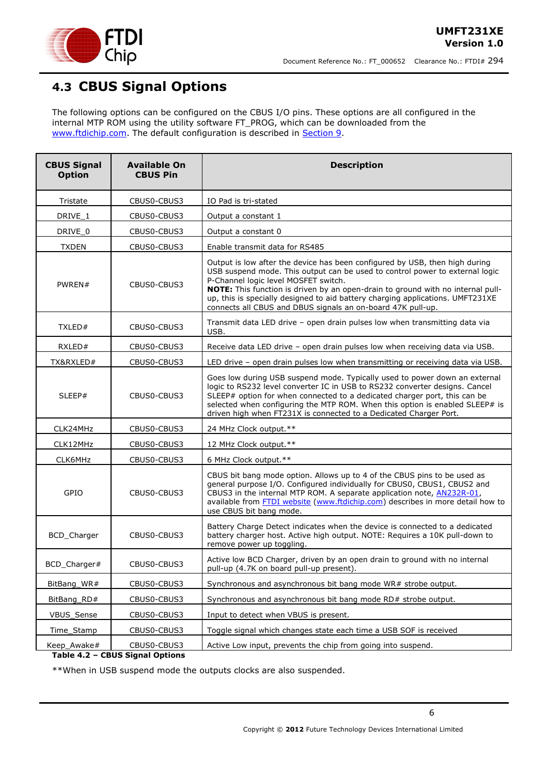

### <span id="page-5-0"></span>**4.3 CBUS Signal Options**

The following options can be configured on the CBUS I/O pins. These options are all configured in the internal MTP ROM using the utility software FT\_PROG, which can be downloaded from the [www.ftdichip.com.](http://www.ftdichip.com/) The default configuration is described in [Section 9.](../../ian.dunn/My%20Documents/SharePoint%20Drafts/DS_UMFT231XA-01.doc#_Internal_EEPROM_Configuration)

| <b>CBUS Signal</b><br><b>Option</b> | <b>Available On</b><br><b>CBUS Pin</b> | <b>Description</b>                                                                                                                                                                                                                                                                                                                                                                                                                      |
|-------------------------------------|----------------------------------------|-----------------------------------------------------------------------------------------------------------------------------------------------------------------------------------------------------------------------------------------------------------------------------------------------------------------------------------------------------------------------------------------------------------------------------------------|
| Tristate                            | CBUS0-CBUS3                            | IO Pad is tri-stated                                                                                                                                                                                                                                                                                                                                                                                                                    |
| DRIVE_1                             | CBUS0-CBUS3                            | Output a constant 1                                                                                                                                                                                                                                                                                                                                                                                                                     |
| DRIVE_0                             | CBUS0-CBUS3                            | Output a constant 0                                                                                                                                                                                                                                                                                                                                                                                                                     |
| <b>TXDEN</b>                        | CBUS0-CBUS3                            | Enable transmit data for RS485                                                                                                                                                                                                                                                                                                                                                                                                          |
| PWREN#                              | CBUS0-CBUS3                            | Output is low after the device has been configured by USB, then high during<br>USB suspend mode. This output can be used to control power to external logic<br>P-Channel logic level MOSFET switch.<br>NOTE: This function is driven by an open-drain to ground with no internal pull-<br>up, this is specially designed to aid battery charging applications. UMFT231XE<br>connects all CBUS and DBUS signals an on-board 47K pull-up. |
| TXLED#                              | CBUS0-CBUS3                            | Transmit data LED drive - open drain pulses low when transmitting data via<br>USB.                                                                                                                                                                                                                                                                                                                                                      |
| RXLED#                              | CBUS0-CBUS3                            | Receive data LED drive - open drain pulses low when receiving data via USB.                                                                                                                                                                                                                                                                                                                                                             |
| TX&RXLED#                           | CBUS0-CBUS3                            | LED drive - open drain pulses low when transmitting or receiving data via USB.                                                                                                                                                                                                                                                                                                                                                          |
| SLEEP#                              | CBUS0-CBUS3                            | Goes low during USB suspend mode. Typically used to power down an external<br>logic to RS232 level converter IC in USB to RS232 converter designs. Cancel<br>SLEEP# option for when connected to a dedicated charger port, this can be<br>selected when configuring the MTP ROM. When this option is enabled SLEEP# is<br>driven high when FT231X is connected to a Dedicated Charger Port.                                             |
| CLK24MHz                            | CBUS0-CBUS3                            | 24 MHz Clock output.**                                                                                                                                                                                                                                                                                                                                                                                                                  |
| CLK12MHz                            | CBUS0-CBUS3                            | 12 MHz Clock output.**                                                                                                                                                                                                                                                                                                                                                                                                                  |
| CLK6MHz                             | CBUS0-CBUS3                            | 6 MHz Clock output.**                                                                                                                                                                                                                                                                                                                                                                                                                   |
| GPIO                                | CBUS0-CBUS3                            | CBUS bit bang mode option. Allows up to 4 of the CBUS pins to be used as<br>general purpose I/O. Configured individually for CBUS0, CBUS1, CBUS2 and<br>CBUS3 in the internal MTP ROM. A separate application note, <b>AN232R-01</b> ,<br>available from FTDI website (www.ftdichip.com) describes in more detail how to<br>use CBUS bit bang mode.                                                                                     |
| BCD_Charger                         | CBUS0-CBUS3                            | Battery Charge Detect indicates when the device is connected to a dedicated<br>battery charger host. Active high output. NOTE: Requires a 10K pull-down to<br>remove power up toggling.                                                                                                                                                                                                                                                 |
| BCD Charger#                        | CBUS0-CBUS3                            | Active low BCD Charger, driven by an open drain to ground with no internal<br>pull-up (4.7K on board pull-up present).                                                                                                                                                                                                                                                                                                                  |
| BitBang WR#                         | CBUS0-CBUS3                            | Synchronous and asynchronous bit bang mode WR# strobe output.                                                                                                                                                                                                                                                                                                                                                                           |
| BitBang_RD#                         | CBUS0-CBUS3                            | Synchronous and asynchronous bit bang mode RD# strobe output.                                                                                                                                                                                                                                                                                                                                                                           |
| VBUS_Sense                          | CBUS0-CBUS3                            | Input to detect when VBUS is present.                                                                                                                                                                                                                                                                                                                                                                                                   |
| Time_Stamp                          | CBUS0-CBUS3                            | Toggle signal which changes state each time a USB SOF is received                                                                                                                                                                                                                                                                                                                                                                       |
| Keep_Awake#                         | CBUS0-CBUS3                            | Active Low input, prevents the chip from going into suspend.                                                                                                                                                                                                                                                                                                                                                                            |

#### <span id="page-5-1"></span>**Table 4.2 – CBUS Signal Options**

\*\*When in USB suspend mode the outputs clocks are also suspended.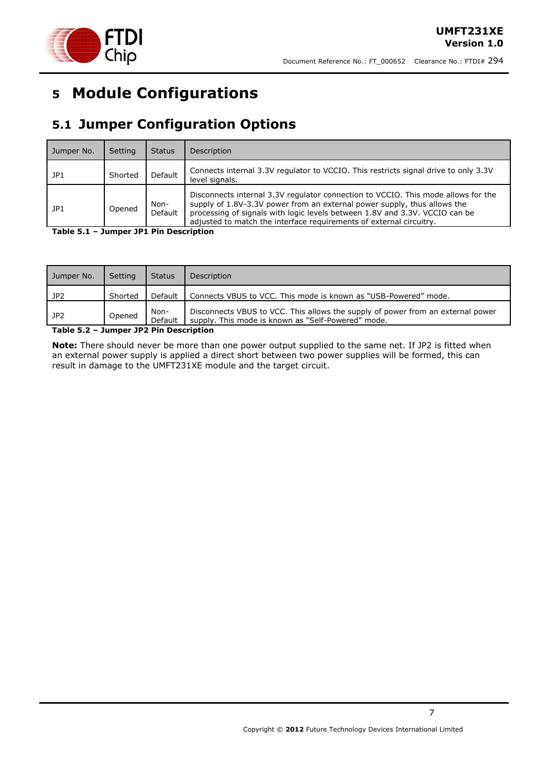

# <span id="page-6-0"></span>**5 Module Configurations**

## <span id="page-6-1"></span>**5.1 Jumper Configuration Options**

| Jumper No. | Setting | <b>Status</b>   | Description                                                                                                                                                                                                                                                                                                         |
|------------|---------|-----------------|---------------------------------------------------------------------------------------------------------------------------------------------------------------------------------------------------------------------------------------------------------------------------------------------------------------------|
| JP1        | Shorted | <b>Default</b>  | Connects internal 3.3V regulator to VCCIO. This restricts signal drive to only 3.3V<br>level signals.                                                                                                                                                                                                               |
| JP1        | Opened  | Non-<br>Default | Disconnects internal 3.3V regulator connection to VCCIO. This mode allows for the<br>supply of 1.8V-3.3V power from an external power supply, thus allows the<br>processing of signals with logic levels between 1.8V and 3.3V. VCCIO can be<br>adjusted to match the interface requirements of external circuitry. |

<span id="page-6-2"></span>**Table 5.1 – Jumper JP1 Pin Description**

| <b>Jumper No.</b> | Setting | <b>Status</b>   | <b>Description</b>                                                                                                                    |
|-------------------|---------|-----------------|---------------------------------------------------------------------------------------------------------------------------------------|
| JP <sub>2</sub>   | Shorted | Default         | Connects VBUS to VCC. This mode is known as "USB-Powered" mode.                                                                       |
| JP2               | Opened  | Non-<br>Default | Disconnects VBUS to VCC. This allows the supply of power from an external power<br>supply. This mode is known as "Self-Powered" mode. |

<span id="page-6-3"></span>**Table 5.2 – Jumper JP2 Pin Description**

**Note:** There should never be more than one power output supplied to the same net. If JP2 is fitted when an external power supply is applied a direct short between two power supplies will be formed, this can result in damage to the UMFT231XE module and the target circuit.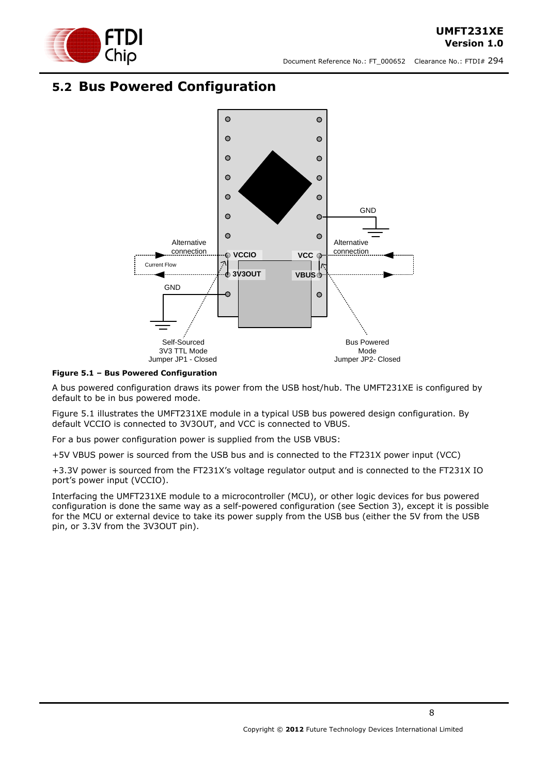

### <span id="page-7-0"></span>**5.2 Bus Powered Configuration**



<span id="page-7-1"></span>**Figure 5.1 – Bus Powered Configuration**

A bus powered configuration draws its power from the USB host/hub. The UMFT231XE is configured by default to be in bus powered mode.

[Figure 5.1](#page-7-1) illustrates the UMFT231XE module in a typical USB bus powered design configuration. By default VCCIO is connected to 3V3OUT, and VCC is connected to VBUS.

For a bus power configuration power is supplied from the USB VBUS:

+5V VBUS power is sourced from the USB bus and is connected to the FT231X power input (VCC)

+3.3V power is sourced from the FT231X"s voltage regulator output and is connected to the FT231X IO port's power input (VCCIO).

Interfacing the UMFT231XE module to a microcontroller (MCU), or other logic devices for bus powered configuration is done the same way as a self-powered configuration (see Section 3), except it is possible for the MCU or external device to take its power supply from the USB bus (either the 5V from the USB pin, or 3.3V from the 3V3OUT pin).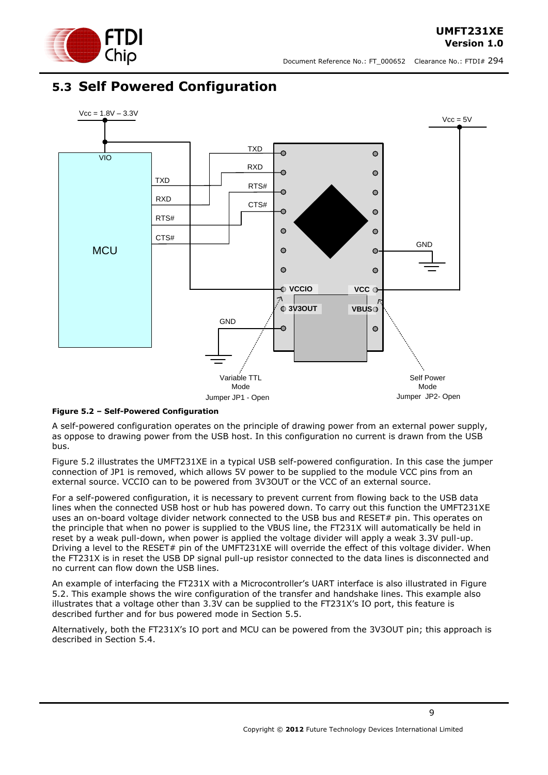

### <span id="page-8-0"></span>**5.3 Self Powered Configuration**



#### <span id="page-8-1"></span>**Figure 5.2 – Self-Powered Configuration**

A self-powered configuration operates on the principle of drawing power from an external power supply, as oppose to drawing power from the USB host. In this configuration no current is drawn from the USB bus.

[Figure 5.2](#page-8-1) illustrates the UMFT231XE in a typical USB self-powered configuration. In this case the jumper connection of JP1 is removed, which allows 5V power to be supplied to the module VCC pins from an external source. VCCIO can to be powered from 3V3OUT or the VCC of an external source.

For a self-powered configuration, it is necessary to prevent current from flowing back to the USB data lines when the connected USB host or hub has powered down. To carry out this function the UMFT231XE uses an on-board voltage divider network connected to the USB bus and RESET# pin. This operates on the principle that when no power is supplied to the VBUS line, the FT231X will automatically be held in reset by a weak pull-down, when power is applied the voltage divider will apply a weak 3.3V pull-up. Driving a level to the RESET# pin of the UMFT231XE will override the effect of this voltage divider. When the FT231X is in reset the USB DP signal pull-up resistor connected to the data lines is disconnected and no current can flow down the USB lines.

An example of interfacing the FT231X with a Microcontroller"s UART interface is also illustrated in [Figure](#page-8-1)  [5.2.](#page-8-1) This example shows the wire configuration of the transfer and handshake lines. This example also illustrates that a voltage other than 3.3V can be supplied to the FT231X"s IO port, this feature is described further and for bus powered mode in Section [5.5.](#page-10-0)

Alternatively, both the FT231X"s IO port and MCU can be powered from the 3V3OUT pin; this approach is described in Section [5.4.](#page-9-0)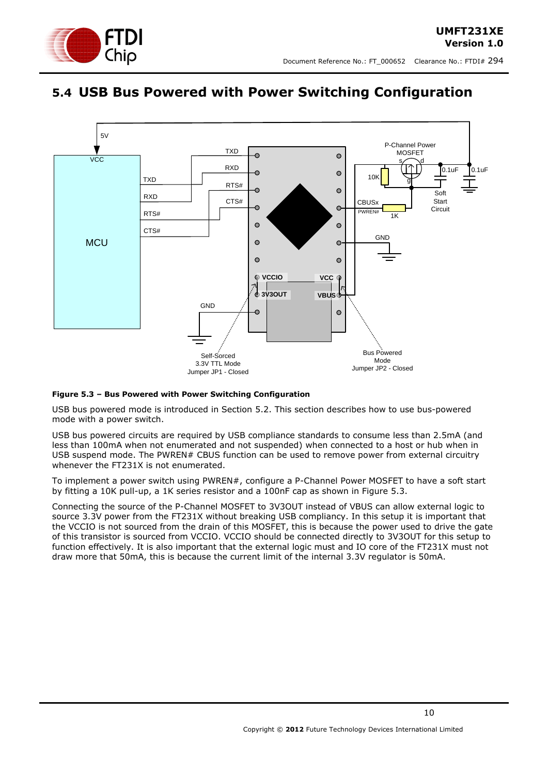

### <span id="page-9-0"></span>**5.4 USB Bus Powered with Power Switching Configuration**



#### <span id="page-9-1"></span>**Figure 5.3 – Bus Powered with Power Switching Configuration**

USB bus powered mode is introduced in Section [5.2.](#page-7-0) This section describes how to use bus-powered mode with a power switch.

USB bus powered circuits are required by USB compliance standards to consume less than 2.5mA (and less than 100mA when not enumerated and not suspended) when connected to a host or hub when in USB suspend mode. The PWREN# CBUS function can be used to remove power from external circuitry whenever the FT231X is not enumerated.

To implement a power switch using PWREN#, configure a P-Channel Power MOSFET to have a soft start by fitting a 10K pull-up, a 1K series resistor and a 100nF cap as shown in [Figure 5.3.](#page-9-1)

Connecting the source of the P-Channel MOSFET to 3V3OUT instead of VBUS can allow external logic to source 3.3V power from the FT231X without breaking USB compliancy. In this setup it is important that the VCCIO is not sourced from the drain of this MOSFET, this is because the power used to drive the gate of this transistor is sourced from VCCIO. VCCIO should be connected directly to 3V3OUT for this setup to function effectively. It is also important that the external logic must and IO core of the FT231X must not draw more that 50mA, this is because the current limit of the internal 3.3V regulator is 50mA.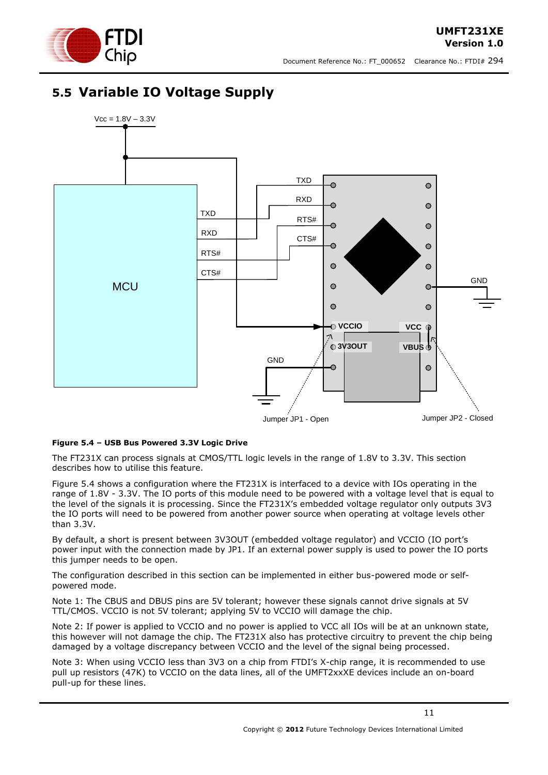

**UMFT231XE**

## <span id="page-10-0"></span>**5.5 Variable IO Voltage Supply**



#### <span id="page-10-1"></span>**Figure 5.4 – USB Bus Powered 3.3V Logic Drive**

The FT231X can process signals at CMOS/TTL logic levels in the range of 1.8V to 3.3V. This section describes how to utilise this feature.

[Figure 5.4](#page-10-1) shows a configuration where the FT231X is interfaced to a device with IOs operating in the range of 1.8V - 3.3V. The IO ports of this module need to be powered with a voltage level that is equal to the level of the signals it is processing. Since the FT231X"s embedded voltage regulator only outputs 3V3 the IO ports will need to be powered from another power source when operating at voltage levels other than 3.3V.

By default, a short is present between 3V3OUT (embedded voltage regulator) and VCCIO (IO port"s power input with the connection made by JP1. If an external power supply is used to power the IO ports this jumper needs to be open.

The configuration described in this section can be implemented in either bus-powered mode or selfpowered mode.

Note 1: The CBUS and DBUS pins are 5V tolerant; however these signals cannot drive signals at 5V TTL/CMOS. VCCIO is not 5V tolerant; applying 5V to VCCIO will damage the chip.

Note 2: If power is applied to VCCIO and no power is applied to VCC all IOs will be at an unknown state, this however will not damage the chip. The FT231X also has protective circuitry to prevent the chip being damaged by a voltage discrepancy between VCCIO and the level of the signal being processed.

Note 3: When using VCCIO less than 3V3 on a chip from FTDI's X-chip range, it is recommended to use pull up resistors (47K) to VCCIO on the data lines, all of the UMFT2xxXE devices include an on-board pull-up for these lines.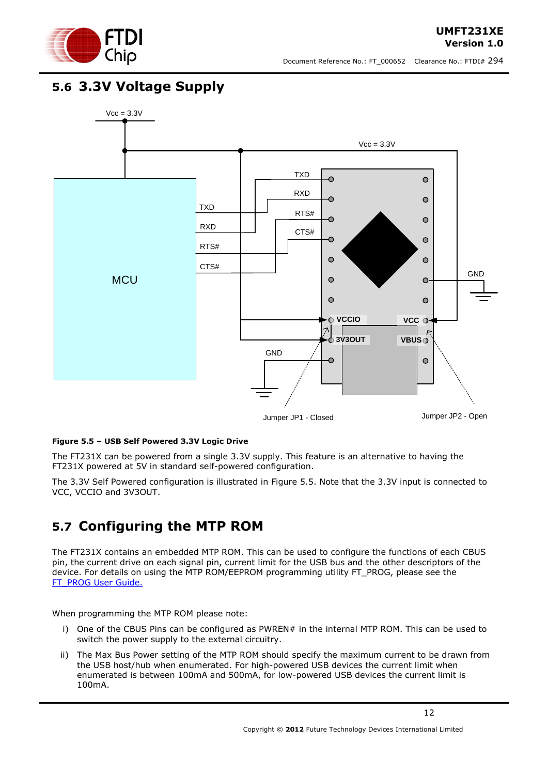

### <span id="page-11-0"></span>**5.6 3.3V Voltage Supply**



### <span id="page-11-2"></span>**Figure 5.5 – USB Self Powered 3.3V Logic Drive**

The FT231X can be powered from a single 3.3V supply. This feature is an alternative to having the FT231X powered at 5V in standard self-powered configuration.

The 3.3V Self Powered configuration is illustrated in [Figure 5.5.](#page-11-2) Note that the 3.3V input is connected to VCC, VCCIO and 3V3OUT.

### <span id="page-11-1"></span>**5.7 Configuring the MTP ROM**

The FT231X contains an embedded MTP ROM. This can be used to configure the functions of each CBUS pin, the current drive on each signal pin, current limit for the USB bus and the other descriptors of the device. For details on using the MTP ROM/EEPROM programming utility FT\_PROG, please see the [FT\\_PROG User Guide.](http://www.ftdichip.com/Support/Documents/AppNotes/AN_124_User_Guide_For_FT_PROG.pdf)

When programming the MTP ROM please note:

- i) One of the CBUS Pins can be configured as PWREN# in the internal MTP ROM. This can be used to switch the power supply to the external circuitry.
- ii) The Max Bus Power setting of the MTP ROM should specify the maximum current to be drawn from the USB host/hub when enumerated. For high-powered USB devices the current limit when enumerated is between 100mA and 500mA, for low-powered USB devices the current limit is 100mA.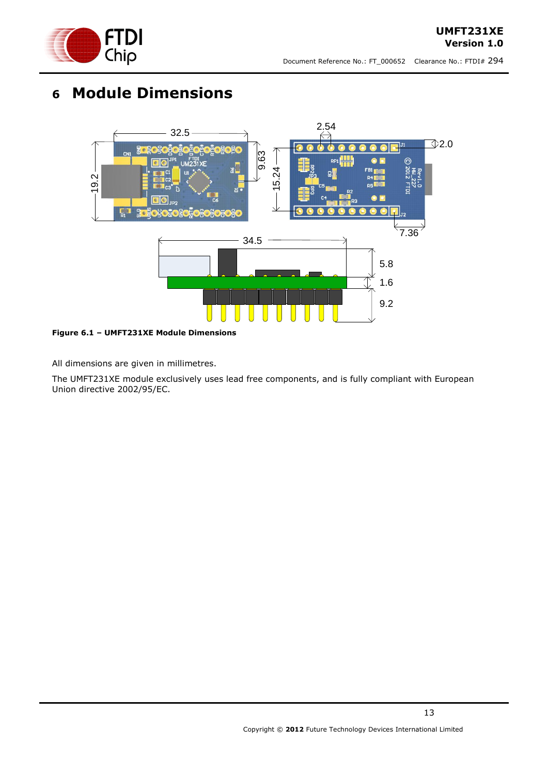

# <span id="page-12-0"></span>**6 Module Dimensions**



<span id="page-12-1"></span>**Figure 6.1 – UMFT231XE Module Dimensions**

All dimensions are given in millimetres.

The UMFT231XE module exclusively uses lead free components, and is fully compliant with European Union directive 2002/95/EC.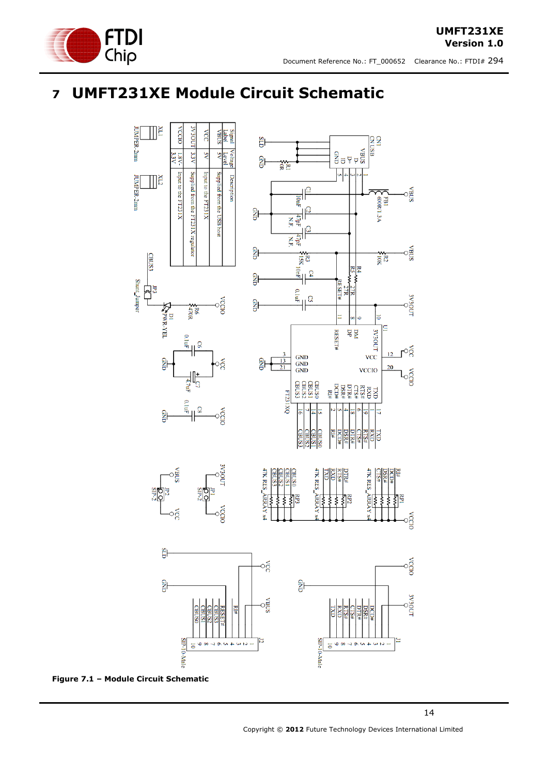

## <span id="page-13-0"></span>**7 UMFT231XE Module Circuit Schematic**



<span id="page-13-1"></span>**Figure 7.1 – Module Circuit Schematic**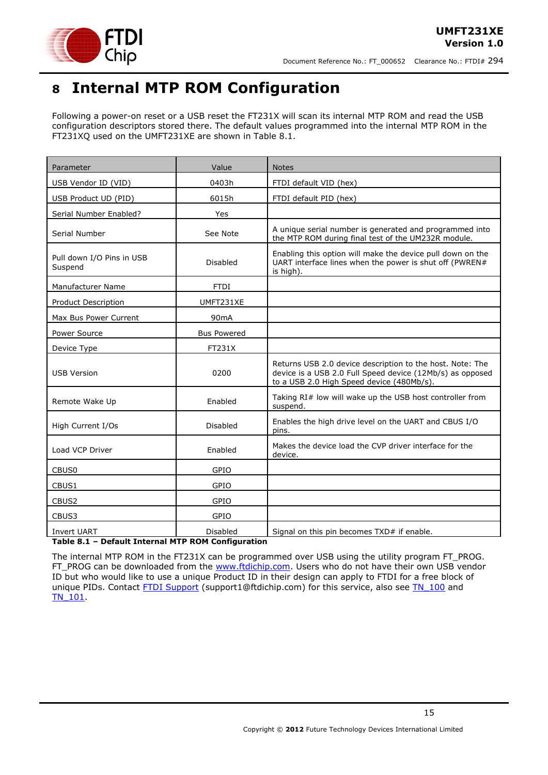

## <span id="page-14-0"></span>**8 Internal MTP ROM Configuration**

Following a power-on reset or a USB reset the FT231X will scan its internal MTP ROM and read the USB configuration descriptors stored there. The default values programmed into the internal MTP ROM in the FT231XQ used on the UMFT231XE are shown in Table 8.1.

| Parameter                            | Value              | <b>Notes</b>                                                                                                                                                        |
|--------------------------------------|--------------------|---------------------------------------------------------------------------------------------------------------------------------------------------------------------|
| USB Vendor ID (VID)                  | 0403h              | FTDI default VID (hex)                                                                                                                                              |
| USB Product UD (PID)                 | 6015h              | FTDI default PID (hex)                                                                                                                                              |
| Serial Number Enabled?               | Yes                |                                                                                                                                                                     |
| Serial Number                        | See Note           | A unique serial number is generated and programmed into<br>the MTP ROM during final test of the UM232R module.                                                      |
| Pull down I/O Pins in USB<br>Suspend | Disabled           | Enabling this option will make the device pull down on the<br>UART interface lines when the power is shut off (PWREN#<br>is high).                                  |
| Manufacturer Name                    | <b>FTDI</b>        |                                                                                                                                                                     |
| Product Description                  | UMFT231XE          |                                                                                                                                                                     |
| Max Bus Power Current                | 90 <sub>m</sub> A  |                                                                                                                                                                     |
| Power Source                         | <b>Bus Powered</b> |                                                                                                                                                                     |
| Device Type                          | FT231X             |                                                                                                                                                                     |
| <b>USB Version</b>                   | 0200               | Returns USB 2.0 device description to the host. Note: The<br>device is a USB 2.0 Full Speed device (12Mb/s) as opposed<br>to a USB 2.0 High Speed device (480Mb/s). |
| Remote Wake Up                       | Enabled            | Taking RI# low will wake up the USB host controller from<br>suspend.                                                                                                |
| High Current I/Os                    | Disabled           | Enables the high drive level on the UART and CBUS I/O<br>pins.                                                                                                      |
| Load VCP Driver                      | Enabled            | Makes the device load the CVP driver interface for the<br>device.                                                                                                   |
| CBUS0                                | GPIO               |                                                                                                                                                                     |
| CBUS1                                | GPIO               |                                                                                                                                                                     |
| CBUS2                                | GPIO               |                                                                                                                                                                     |
| CBUS3                                | GPIO               |                                                                                                                                                                     |
| <b>Invert UART</b>                   | Disabled           | Signal on this pin becomes TXD# if enable.                                                                                                                          |

<span id="page-14-1"></span>**Table 8.1 – Default Internal MTP ROM Configuration**

The internal MTP ROM in the FT231X can be programmed over USB using the utility program FT\_PROG. FT\_PROG can be downloaded from the [www.ftdichip.com.](http://www.ftdichip.com/) Users who do not have their own USB vendor ID but who would like to use a unique Product ID in their design can apply to FTDI for a free block of unique PIDs. Contact [FTDI Support](mailto:support1@ftdichip.com?subject=UM232R%20Free%20Block%20of%20Unique%20PIDs) (support1@ftdichip.com) for this service, also see TN 100 and [TN\\_101.](http://www.ftdichip.com/Support/Documents/TechnicalNotes/TN_104_Guide%20to%20Debugging_Customers_Failed_Driver_%20Installation_%20on_%20Windows.pdf)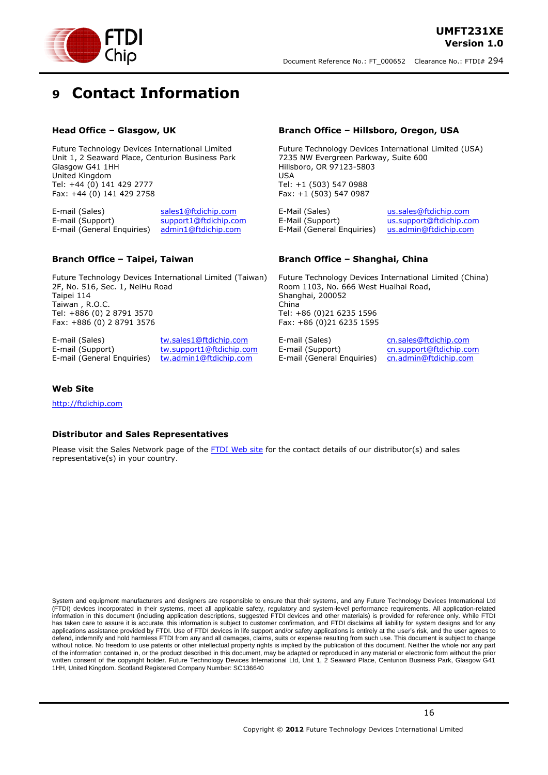

## <span id="page-15-0"></span>**9 Contact Information**

#### **Head Office – Glasgow, UK**

Future Technology Devices International Limited Unit 1, 2 Seaward Place, Centurion Business Park Glasgow G41 1HH United Kingdom Tel: +44 (0) 141 429 2777 Fax: +44 (0) 141 429 2758

E-mail (Sales) [sales1@ftdichip.com](mailto:sales1@ftdichip.com) E-mail (Support) [support1@ftdichip.com](mailto:support1@ftdichip.com) E-mail (General Enquiries) [admin1@ftdichip.com](mailto:admin1@ftdichip.com)

#### **Branch Office – Taipei, Taiwan**

Future Technology Devices International Limited (Taiwan) 2F, No. 516, Sec. 1, NeiHu Road Taipei 114 Taiwan , R.O.C. Tel: +886 (0) 2 8791 3570 Fax: +886 (0) 2 8791 3576

E-mail (Sales) [tw.sales1@ftdichip.com](mailto:tw.sales1@ftdichip.com)

E-mail (Support) [tw.support1@ftdichip.com](mailto:tw.support1@ftdichip.com) E-mail (General Enquiries) [tw.admin1@ftdichip.com](mailto:tw.admin1@ftdichip.com)

#### **Branch Office – Hillsboro, Oregon, USA**

Future Technology Devices International Limited (USA) 7235 NW Evergreen Parkway, Suite 600 Hillsboro, OR 97123-5803 USA Tel: +1 (503) 547 0988 Fax: +1 (503) 547 0987

E-Mail (Sales) [us.sales@ftdichip.com](mailto:us.sales@ftdichip.com) E-Mail (Support) [us.support@ftdichip.com](mailto:us.support@ftdichip.com) E-Mail (General Enquiries) [us.admin@ftdichip.com](mailto:us.admin@ftdichip.com)

#### **Branch Office – Shanghai, China**

Future Technology Devices International Limited (China) Room 1103, No. 666 West Huaihai Road, Shanghai, 200052 China Tel: +86 (0)21 6235 1596 Fax: +86 (0)21 6235 1595

E-mail (Support) [cn.support@ftdichip.com](mailto:cn.support@ftdichip.com) E-mail (General Enquiries) [cn.admin@ftdichip.com](mailto:cn.admin@ftdichip.com)

E-mail (Sales) [cn.sales@ftdichip.com](mailto:cn.sales@ftdichip.com)

#### **Web Site**

[http://ftdichip.com](http://ftdichip.com/)

#### **Distributor and Sales Representatives**

Please visit the Sales Network page of the [FTDI Web site](http://ftdichip.com/FTSalesNetwork.htm) for the contact details of our distributor(s) and sales representative(s) in your country.

System and equipment manufacturers and designers are responsible to ensure that their systems, and any Future Technology Devices International Ltd (FTDI) devices incorporated in their systems, meet all applicable safety, regulatory and system-level performance requirements. All application-related information in this document (including application descriptions, suggested FTDI devices and other materials) is provided for reference only. While FTDI has taken care to assure it is accurate, this information is subject to customer confirmation, and FTDI disclaims all liability for system designs and for any applications assistance provided by FTDI. Use of FTDI devices in life support and/or safety applications is entirely at the user's risk, and the user agrees to applications assistance provided by FTDI. Use of FTDI devices defend, indemnify and hold harmless FTDI from any and all damages, claims, suits or expense resulting from such use. This document is subject to change without notice. No freedom to use patents or other intellectual property rights is implied by the publication of this document. Neither the whole nor any part of the information contained in, or the product described in this document, may be adapted or reproduced in any material or electronic form without the prior written consent of the copyright holder. Future Technology Devices International Ltd, Unit 1, 2 Seaward Place, Centurion Business Park, Glasgow G41 1HH, United Kingdom. Scotland Registered Company Number: SC136640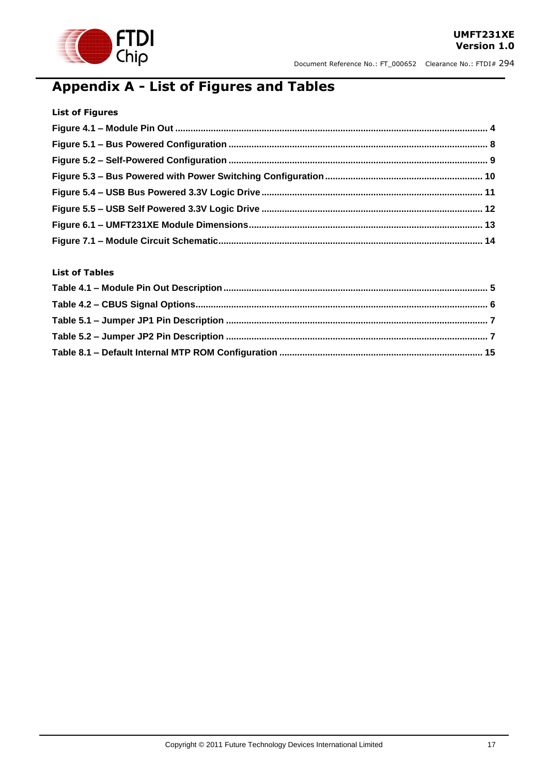

## <span id="page-16-0"></span>**Appendix A - List of Figures and Tables**

| <b>List of Figures</b> |  |
|------------------------|--|
|                        |  |
|                        |  |
|                        |  |
|                        |  |
|                        |  |
|                        |  |
|                        |  |
|                        |  |

### **List of Tables**